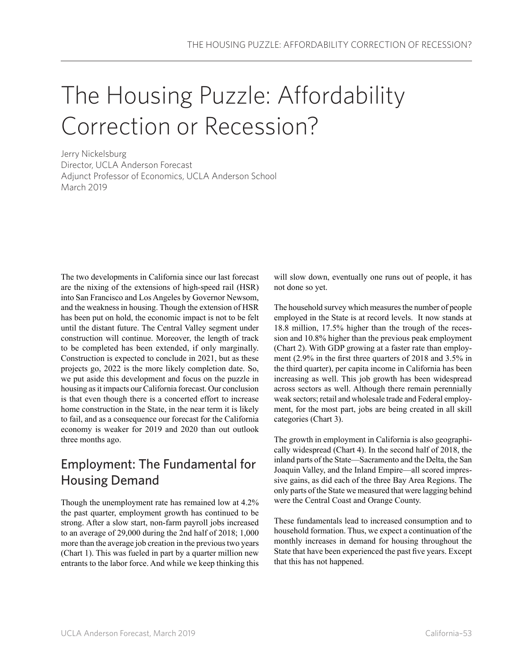## The Housing Puzzle: Affordability Correction or Recession?

Jerry Nickelsburg Director, UCLA Anderson Forecast Adjunct Professor of Economics, UCLA Anderson School March 2019

The two developments in California since our last forecast are the nixing of the extensions of high-speed rail (HSR) into San Francisco and Los Angeles by Governor Newsom, and the weakness in housing. Though the extension of HSR has been put on hold, the economic impact is not to be felt until the distant future. The Central Valley segment under construction will continue. Moreover, the length of track to be completed has been extended, if only marginally. Construction is expected to conclude in 2021, but as these projects go, 2022 is the more likely completion date. So, we put aside this development and focus on the puzzle in housing as it impacts our California forecast. Our conclusion is that even though there is a concerted effort to increase home construction in the State, in the near term it is likely to fail, and as a consequence our forecast for the California economy is weaker for 2019 and 2020 than out outlook three months ago.

## Employment: The Fundamental for Housing Demand

Though the unemployment rate has remained low at 4.2% the past quarter, employment growth has continued to be strong. After a slow start, non-farm payroll jobs increased to an average of 29,000 during the 2nd half of 2018; 1,000 more than the average job creation in the previous two years (Chart 1). This was fueled in part by a quarter million new entrants to the labor force. And while we keep thinking this will slow down, eventually one runs out of people, it has not done so yet.

The household survey which measures the number of people employed in the State is at record levels. It now stands at 18.8 million, 17.5% higher than the trough of the recession and 10.8% higher than the previous peak employment (Chart 2). With GDP growing at a faster rate than employment (2.9% in the first three quarters of 2018 and 3.5% in the third quarter), per capita income in California has been increasing as well. This job growth has been widespread across sectors as well. Although there remain perennially weak sectors; retail and wholesale trade and Federal employment, for the most part, jobs are being created in all skill categories (Chart 3).

The growth in employment in California is also geographically widespread (Chart 4). In the second half of 2018, the inland parts of the State—Sacramento and the Delta, the San Joaquin Valley, and the Inland Empire—all scored impressive gains, as did each of the three Bay Area Regions. The only parts of the State we measured that were lagging behind were the Central Coast and Orange County.

These fundamentals lead to increased consumption and to household formation. Thus, we expect a continuation of the monthly increases in demand for housing throughout the State that have been experienced the past five years. Except that this has not happened.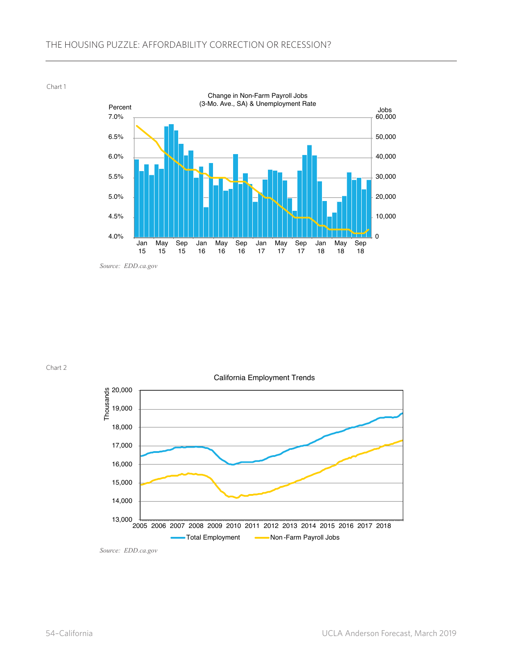Chart 1



Chart 2



*Source: EDD.ca.gov*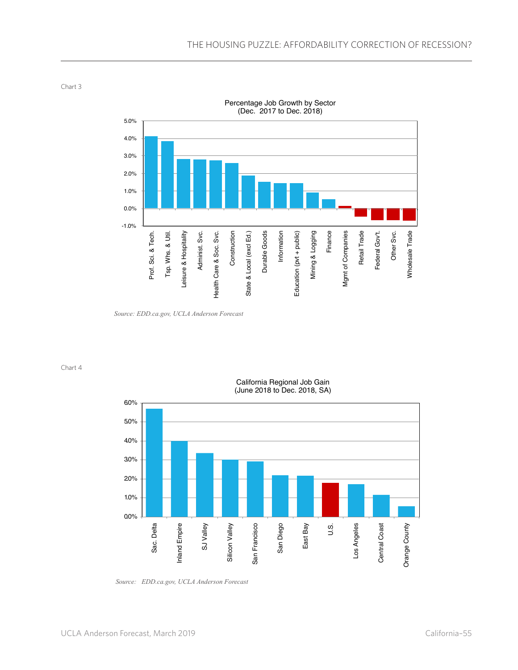Percentage Job Growth by Sector (Dec. 2017 to Dec. 2018) 5.0% 4.0% 3.0% 2.0% 1.0% 0.0% -1.0% Finance Wholesale Trade Mgmt of Companies Retail Trade Federal Gov<sup>+</sup>t. Leisure & Hospitality Leisure & Hospitality Administ. Svc. Construction State & Local (excl Ed.) Durable Goods Information Education (pvt + public) Mining & Logging Other Svc. Prof. Sci. & Tech. Prof. Sci. & Tech. Tsp. Whs. & Util. Tsp. Whs. & Util. Administ. Svc. Health Care & Soc. Svc. Construction State & Local (excl Ed.) Durable Goods Information Education (pvt + public) Mining & Logging Mgmt of Companies Retail Trade Federal Gov't. Other Svc. Wholesale Trade Health Care & Soc. Svc

Chart 3

Chart 4



California Regional Job Gain (June 2018 to Dec. 2018, SA)

*Source: EDD.ca.gov, UCLA Anderson Forecast*

*Source: EDD.ca.gov, UCLA Anderson Forecast*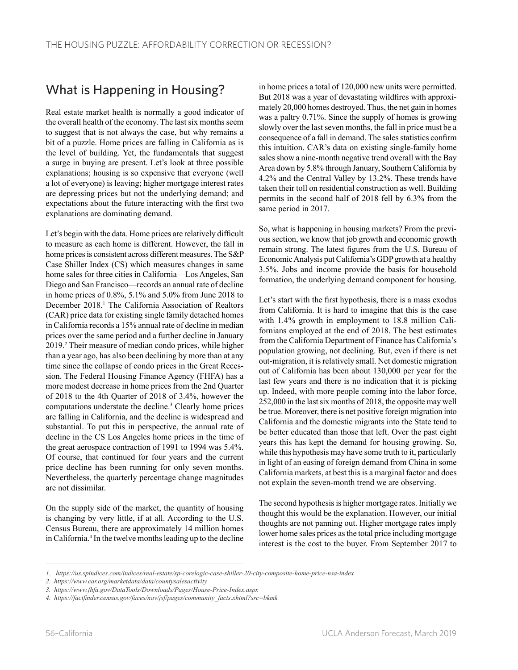## What is Happening in Housing?

Real estate market health is normally a good indicator of the overall health of the economy. The last six months seem to suggest that is not always the case, but why remains a bit of a puzzle. Home prices are falling in California as is the level of building. Yet, the fundamentals that suggest a surge in buying are present. Let's look at three possible explanations; housing is so expensive that everyone (well a lot of everyone) is leaving; higher mortgage interest rates are depressing prices but not the underlying demand; and expectations about the future interacting with the first two explanations are dominating demand.

Let's begin with the data. Home prices are relatively difficult to measure as each home is different. However, the fall in home prices is consistent across different measures. The S&P Case Shiller Index (CS) which measures changes in same home sales for three cities in California—Los Angeles, San Diego and San Francisco—records an annual rate of decline in home prices of 0.8%, 5.1% and 5.0% from June 2018 to December 2018.<sup>1</sup> The California Association of Realtors (CAR) price data for existing single family detached homes in California records a 15% annual rate of decline in median prices over the same period and a further decline in January 2019.2 Their measure of median condo prices, while higher than a year ago, has also been declining by more than at any time since the collapse of condo prices in the Great Recession. The Federal Housing Finance Agency (FHFA) has a more modest decrease in home prices from the 2nd Quarter of 2018 to the 4th Quarter of 2018 of 3.4%, however the computations understate the decline.<sup>3</sup> Clearly home prices are falling in California, and the decline is widespread and substantial. To put this in perspective, the annual rate of decline in the CS Los Angeles home prices in the time of the great aerospace contraction of 1991 to 1994 was 5.4%. Of course, that continued for four years and the current price decline has been running for only seven months. Nevertheless, the quarterly percentage change magnitudes are not dissimilar.

On the supply side of the market, the quantity of housing is changing by very little, if at all. According to the U.S. Census Bureau, there are approximately 14 million homes in California.4 In the twelve months leading up to the decline in home prices a total of 120,000 new units were permitted. But 2018 was a year of devastating wildfires with approximately 20,000 homes destroyed. Thus, the net gain in homes was a paltry 0.71%. Since the supply of homes is growing slowly over the last seven months, the fall in price must be a consequence of a fall in demand. The sales statistics confirm this intuition. CAR's data on existing single-family home sales show a nine-month negative trend overall with the Bay Area down by 5.8% through January, Southern California by 4.2% and the Central Valley by 13.2%. These trends have taken their toll on residential construction as well. Building permits in the second half of 2018 fell by 6.3% from the same period in 2017.

So, what is happening in housing markets? From the previous section, we know that job growth and economic growth remain strong. The latest figures from the U.S. Bureau of Economic Analysis put California's GDP growth at a healthy 3.5%. Jobs and income provide the basis for household formation, the underlying demand component for housing.

Let's start with the first hypothesis, there is a mass exodus from California. It is hard to imagine that this is the case with 1.4% growth in employment to 18.8 million Californians employed at the end of 2018. The best estimates from the California Department of Finance has California's population growing, not declining. But, even if there is net out-migration, it is relatively small. Net domestic migration out of California has been about 130,000 per year for the last few years and there is no indication that it is picking up. Indeed, with more people coming into the labor force, 252,000 in the last six months of 2018, the opposite may well be true. Moreover, there is net positive foreign migration into California and the domestic migrants into the State tend to be better educated than those that left. Over the past eight years this has kept the demand for housing growing. So, while this hypothesis may have some truth to it, particularly in light of an easing of foreign demand from China in some California markets, at best this is a marginal factor and does not explain the seven-month trend we are observing.

The second hypothesis is higher mortgage rates. Initially we thought this would be the explanation. However, our initial thoughts are not panning out. Higher mortgage rates imply lower home sales prices as the total price including mortgage interest is the cost to the buyer. From September 2017 to

*<sup>1.</sup> https://us.spindices.com/indices/real-estate/sp-corelogic-case-shiller-20-city-composite-home-price-nsa-index*

*<sup>2.</sup> https://www.car.org/marketdata/data/countysalesactivity* 

*<sup>3.</sup> https://www.fhfa.gov/DataTools/Downloads/Pages/House-Price-Index.aspx* 

*<sup>4.</sup> https://factfinder.census.gov/faces/nav/jsf/pages/community\_facts.xhtml?src=bkmk*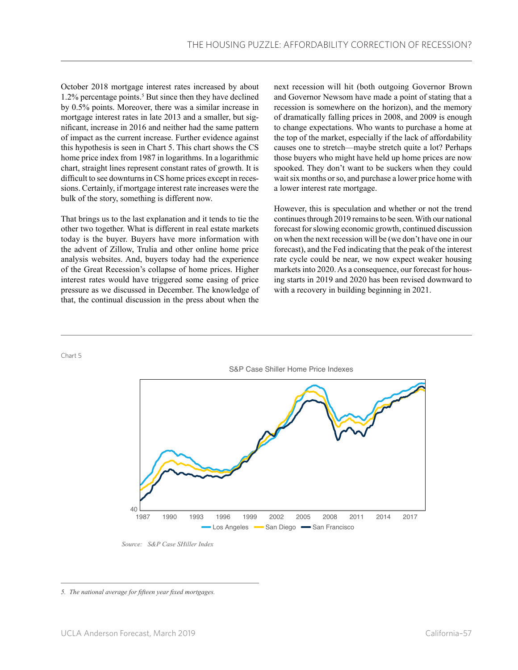October 2018 mortgage interest rates increased by about 1.2% percentage points.<sup>5</sup> But since then they have declined by 0.5% points. Moreover, there was a similar increase in mortgage interest rates in late 2013 and a smaller, but significant, increase in 2016 and neither had the same pattern of impact as the current increase. Further evidence against this hypothesis is seen in Chart 5. This chart shows the CS home price index from 1987 in logarithms. In a logarithmic chart, straight lines represent constant rates of growth. It is difficult to see downturns in CS home prices except in recessions. Certainly, if mortgage interest rate increases were the bulk of the story, something is different now.

That brings us to the last explanation and it tends to tie the other two together. What is different in real estate markets today is the buyer. Buyers have more information with the advent of Zillow, Trulia and other online home price analysis websites. And, buyers today had the experience of the Great Recession's collapse of home prices. Higher interest rates would have triggered some easing of price pressure as we discussed in December. The knowledge of that, the continual discussion in the press about when the

next recession will hit (both outgoing Governor Brown and Governor Newsom have made a point of stating that a recession is somewhere on the horizon), and the memory of dramatically falling prices in 2008, and 2009 is enough to change expectations. Who wants to purchase a home at the top of the market, especially if the lack of affordability causes one to stretch—maybe stretch quite a lot? Perhaps those buyers who might have held up home prices are now spooked. They don't want to be suckers when they could wait six months or so, and purchase a lower price home with a lower interest rate mortgage.

However, this is speculation and whether or not the trend continues through 2019 remains to be seen. With our national forecast for slowing economic growth, continued discussion on when the next recession will be (we don't have one in our forecast), and the Fed indicating that the peak of the interest rate cycle could be near, we now expect weaker housing markets into 2020. As a consequence, our forecast for housing starts in 2019 and 2020 has been revised downward to with a recovery in building beginning in 2021.



*Source: S&P Case SHiller Index*

Chart 5

*<sup>5.</sup> The national average for fifteen year fixed mortgages.*